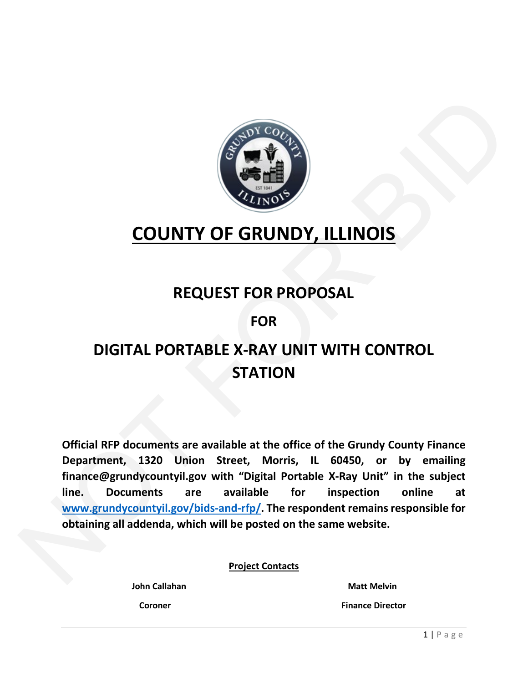

# **COUNTY OF GRUNDY, ILLINOIS**

# **REQUEST FOR PROPOSAL**

## **FOR**

# **DIGITAL PORTABLE X-RAY UNIT WITH CONTROL STATION**

**Official RFP documents are available at the office of the Grundy County Finance Department, 1320 Union Street, Morris, IL 60450, or by emailing finance@grundycountyil.gov with "Digital Portable X-Ray Unit" in the subject line. Documents are available for inspection online at www.grundycountyil.gov/bids-and-rfp/. The respondent remains responsible for obtaining all addenda, which will be posted on the same website. COUNTY OF GRUNDY, ILLI[NO](http://www.grundycountyil.gov/bids-and-rfp/)IS**<br>
REQUEST FOR PROPOSAL<br>
FOR<br>
DIGITAL PORTABLE X-RAY UNIT WITH CONTROL<br>
STATION<br>
Official RFP documents are available at the office of the Grundy County Finance<br>
Department, 1320 Union Street, Mo

**Project Contacts**

**John Callahan** Matt Melvin  **Coroner Finance Director**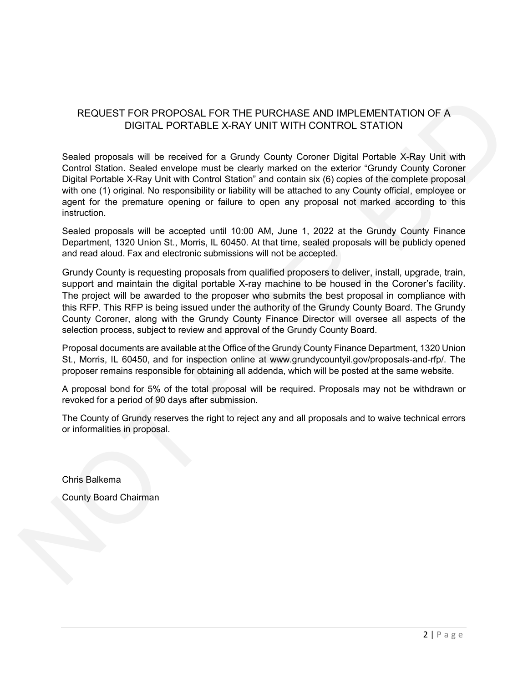#### REQUEST FOR PROPOSAL FOR THE PURCHASE AND IMPLEMENTATION OF A DIGITAL PORTABLE X-RAY UNIT WITH CONTROL STATION

Sealed proposals will be received for a Grundy County Coroner Digital Portable X-Ray Unit with Control Station. Sealed envelope must be clearly marked on the exterior "Grundy County Coroner Digital Portable X-Ray Unit with Control Station" and contain six (6) copies of the complete proposal with one (1) original. No responsibility or liability will be attached to any County official, employee or agent for the premature opening or failure to open any proposal not marked according to this instruction.

Sealed proposals will be accepted until 10:00 AM, June 1, 2022 at the Grundy County Finance Department, 1320 Union St., Morris, IL 60450. At that time, sealed proposals will be publicly opened and read aloud. Fax and electronic submissions will not be accepted.

Grundy County is requesting proposals from qualified proposers to deliver, install, upgrade, train, support and maintain the digital portable X-ray machine to be housed in the Coroner's facility. The project will be awarded to the proposer who submits the best proposal in compliance with this RFP. This RFP is being issued under the authority of the Grundy County Board. The Grundy County Coroner, along with the Grundy County Finance Director will oversee all aspects of the selection process, subject to review and approval of the Grundy County Board. REQUEST FOR PROPOSAL FOR THE PURCHASE AND IMPLEMENTATION OF A<br>DIGITAL PORTABLE X-RAY UNIT WITH CONTROL STATION<br>Selected proposable will be received for a Country Country Concer Digital Postele & CRay Unit with<br>Control Stat

Proposal documents are available at the Office of the Grundy County Finance Department, 1320 Union St., Morris, IL 60450, and for inspection online at www.grundycountyil.gov/proposals-and-rfp/. The proposer remains responsible for obtaining all addenda, which will be posted at the same website.

A proposal bond for 5% of the total proposal will be required. Proposals may not be withdrawn or revoked for a period of 90 days after submission.

The County of Grundy reserves the right to reject any and all proposals and to waive technical errors or informalities in proposal.

Chris Balkema

County Board Chairman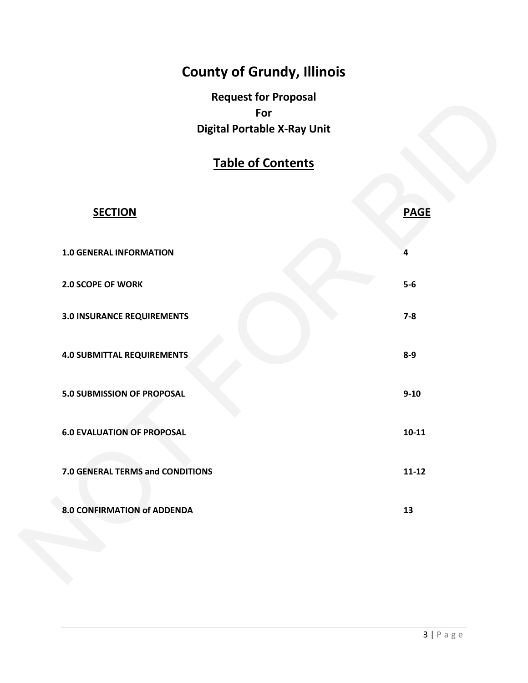# **County of Grundy, Illinois**

**Request for Proposal For Digital Portable X-Ray Unit**

## **Table of Contents**

| <b>Table of Contents</b>          |             |
|-----------------------------------|-------------|
|                                   |             |
| <b>SECTION</b>                    | <b>PAGE</b> |
| <b>1.0 GENERAL INFORMATION</b>    | 4           |
| 2.0 SCOPE OF WORK                 | $5-6$       |
| <b>3.0 INSURANCE REQUIREMENTS</b> | $7-8$       |
| <b>4.0 SUBMITTAL REQUIREMENTS</b> | $8-9$       |
| 5.0 SUBMISSION OF PROPOSAL        | $9 - 10$    |
| <b>6.0 EVALUATION OF PROPOSAL</b> | $10-11$     |
| 7.0 GENERAL TERMS and CONDITIONS  | $11 - 12$   |
| 8.0 CONFIRMATION of ADDENDA       | 13          |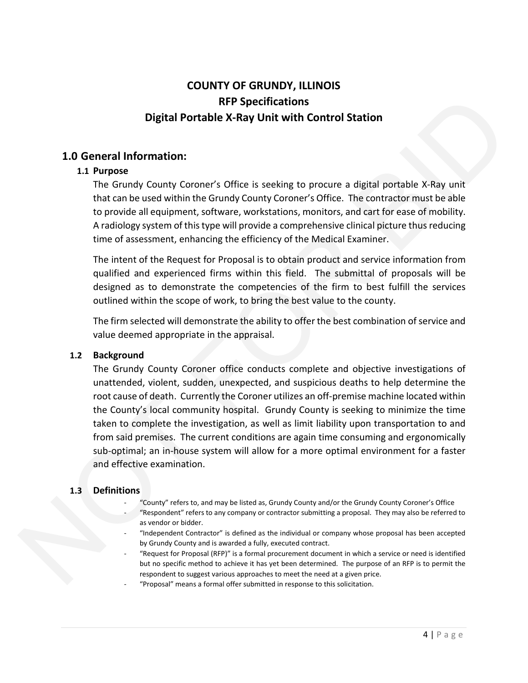### **COUNTY OF GRUNDY, ILLINOIS RFP Specifications Digital Portable X-Ray Unit with Control Station**

#### **1.0 General Information:**

#### **1.1 Purpose**

The Grundy County Coroner's Office is seeking to procure a digital portable X-Ray unit that can be used within the Grundy County Coroner's Office. The contractor must be able to provide all equipment, software, workstations, monitors, and cart for ease of mobility. A radiology system of this type will provide a comprehensive clinical picture thus reducing time of assessment, enhancing the efficiency of the Medical Examiner. **RFP Specifications**<br> **Sortable X-Ray Unit with Control Station**<br> **Correction:**<br> **Correction** in the Grundy County Coroner's Office. The contractor must be able<br>
and the stroken experiments are proposed in the stroken of t

The intent of the Request for Proposal is to obtain product and service information from qualified and experienced firms within this field. The submittal of proposals will be designed as to demonstrate the competencies of the firm to best fulfill the services outlined within the scope of work, to bring the best value to the county.

The firm selected will demonstrate the ability to offer the best combination of service and value deemed appropriate in the appraisal.

#### **1.2 Background**

The Grundy County Coroner office conducts complete and objective investigations of unattended, violent, sudden, unexpected, and suspicious deaths to help determine the root cause of death. Currently the Coroner utilizes an off-premise machine located within the County's local community hospital. Grundy County is seeking to minimize the time taken to complete the investigation, as well as limit liability upon transportation to and from said premises. The current conditions are again time consuming and ergonomically sub-optimal; an in-house system will allow for a more optimal environment for a faster and effective examination. root cause of death. Currently the<br>the County's local community he<br>taken to complete the investigar<br>from said premises. The current<br>sub-optimal; an in-house system<br>and effective examination.<br>1.3 Definitions<br>- "County" refe

#### **1.3 Definitions**

- "County" refers to, and may be listed as, Grundy County and/or the Grundy County Coroner's Office - "Respondent" refers to any company or contractor submitting a proposal. They may also be referred to as vendor or bidder.
- "Independent Contractor" is defined as the individual or company whose proposal has been accepted by Grundy County and is awarded a fully, executed contract.
- "Request for Proposal (RFP)" is a formal procurement document in which a service or need is identified but no specific method to achieve it has yet been determined. The purpose of an RFP is to permit the respondent to suggest various approaches to meet the need at a given price.
- "Proposal" means a formal offer submitted in response to this solicitation.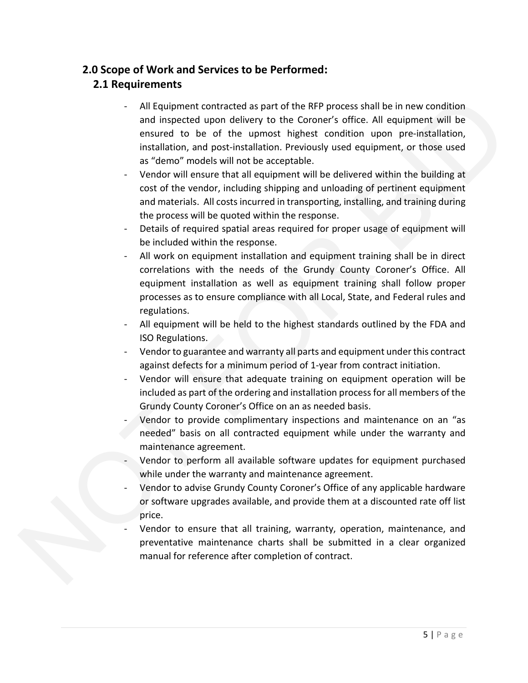## **2.0 Scope of Work and Services to be Performed:**

### **2.1 Requirements**

- All Equipment contracted as part of the RFP process shall be in new condition and inspected upon delivery to the Coroner's office. All equipment will be ensured to be of the upmost highest condition upon pre-installation, installation, and post-installation. Previously used equipment, or those used as "demo" models will not be acceptable. ent contracted as part of the RFP process shall be in new condition<br>ted upon delivery to the Coroner's office. All equipment will be<br>o be of the upmost highest condition upon pre-installation,<br>models will not be acceptable
- Vendor will ensure that all equipment will be delivered within the building at cost of the vendor, including shipping and unloading of pertinent equipment and materials. All costs incurred in transporting, installing, and training during the process will be quoted within the response.
- Details of required spatial areas required for proper usage of equipment will be included within the response.
- All work on equipment installation and equipment training shall be in direct correlations with the needs of the Grundy County Coroner's Office. All equipment installation as well as equipment training shall follow proper processes as to ensure compliance with all Local, State, and Federal rules and regulations.
- All equipment will be held to the highest standards outlined by the FDA and ISO Regulations.
- Vendor to guarantee and warranty all parts and equipment under this contract against defects for a minimum period of 1-year from contract initiation.
- Vendor will ensure that adequate training on equipment operation will be included as part of the ordering and installation process for all members of the Grundy County Coroner's Office on an as needed basis.
- Vendor to provide complimentary inspections and maintenance on an "as needed" basis on all contracted equipment while under the warranty and maintenance agreement.
- Vendor to perform all available software updates for equipment purchased while under the warranty and maintenance agreement.
- Vendor to advise Grundy County Coroner's Office of any applicable hardware or software upgrades available, and provide them at a discounted rate off list price. Franced as part of the<br>Grundy County Coron<br>Pendor to provide connected<br>needed" basis on all<br>maintenance agreem<br>Pendor to perform a<br>while under the warr<br>Pendor to advise Gru<br>or software upgrades<br>price.<br>Pendor to ensure the<br>
	- Vendor to ensure that all training, warranty, operation, maintenance, and preventative maintenance charts shall be submitted in a clear organized manual for reference after completion of contract.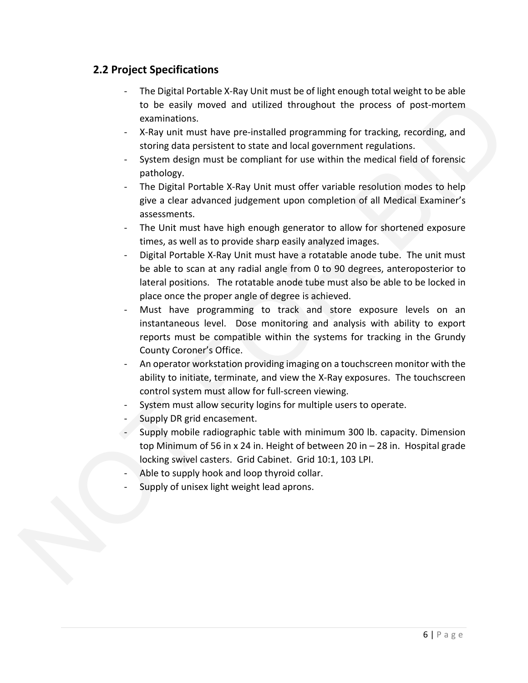### **2.2 Project Specifications**

- The Digital Portable X-Ray Unit must be of light enough total weight to be able to be easily moved and utilized throughout the process of post-mortem examinations.
- X-Ray unit must have pre-installed programming for tracking, recording, and storing data persistent to state and local government regulations.
- System design must be compliant for use within the medical field of forensic pathology.
- The Digital Portable X-Ray Unit must offer variable resolution modes to help give a clear advanced judgement upon completion of all Medical Examiner's assessments.
- The Unit must have high enough generator to allow for shortened exposure times, as well as to provide sharp easily analyzed images.
- Digital Portable X-Ray Unit must have a rotatable anode tube. The unit must be able to scan at any radial angle from 0 to 90 degrees, anteroposterior to lateral positions. The rotatable anode tube must also be able to be locked in place once the proper angle of degree is achieved.
- Must have programming to track and store exposure levels on an instantaneous level. Dose monitoring and analysis with ability to export reports must be compatible within the systems for tracking in the Grundy County Coroner's Office. to be easily moved and utilized throughout the process of post-more<br>commissions. The process of post-more examples throughout the process of post-more<br>examples that the state and local government regulations.<br>Setting that
	- An operator workstation providing imaging on a touchscreen monitor with the ability to initiate, terminate, and view the X-Ray exposures. The touchscreen control system must allow for full-screen viewing.
	- System must allow security logins for multiple users to operate.
	- Supply DR grid encasement.
	- Supply mobile radiographic table with minimum 300 lb. capacity. Dimension top Minimum of 56 in x 24 in. Height of between 20 in – 28 in. Hospital grade locking swivel casters. Grid Cabinet. Grid 10:1, 103 LPI.
	- Able to supply hook and loop thyroid collar.
	- Supply of unisex light weight lead aprons.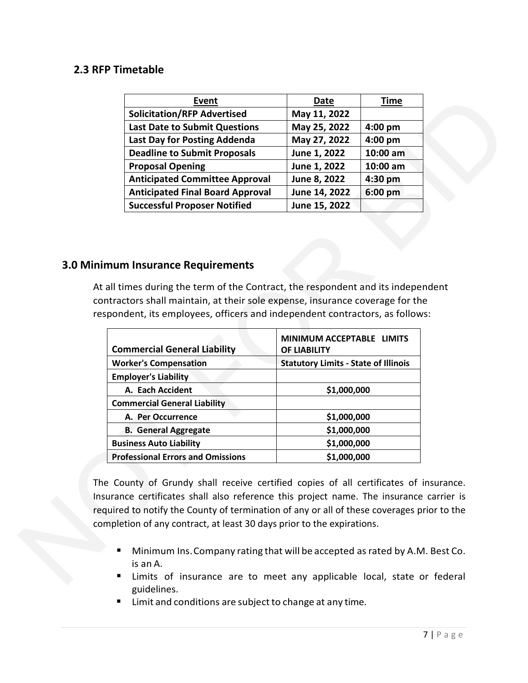#### **2.3 RFP Timetable**

| <b>Event</b>                                                                                                                                                                                                                 | Date                                        | <b>Time</b> |
|------------------------------------------------------------------------------------------------------------------------------------------------------------------------------------------------------------------------------|---------------------------------------------|-------------|
| <b>Solicitation/RFP Advertised</b>                                                                                                                                                                                           | May 11, 2022                                |             |
| <b>Last Date to Submit Questions</b>                                                                                                                                                                                         | May 25, 2022                                | $4:00$ pm   |
| Last Day for Posting Addenda                                                                                                                                                                                                 | May 27, 2022                                | 4:00 pm     |
| <b>Deadline to Submit Proposals</b>                                                                                                                                                                                          | June 1, 2022                                | 10:00 am    |
| <b>Proposal Opening</b>                                                                                                                                                                                                      | June 1, 2022                                | 10:00 am    |
| <b>Anticipated Committee Approval</b>                                                                                                                                                                                        | June 8, 2022                                | 4:30 pm     |
| <b>Anticipated Final Board Approval</b>                                                                                                                                                                                      | June 14, 2022                               | 6:00 pm     |
| <b>Successful Proposer Notified</b>                                                                                                                                                                                          | June 15, 2022                               |             |
| mes during the term of the Contract, the respondent and its independent<br>ctors shall maintain, at their sole expense, insurance coverage for the<br>dent, its employees, officers and independent contractors, as follows: |                                             |             |
| mmercial General Liability                                                                                                                                                                                                   | MINIMUM ACCEPTABLE LIMITS<br>OF LIABILITY   |             |
| orker's Compensation                                                                                                                                                                                                         | <b>Statutory Limits - State of Illinois</b> |             |
| ployer's Liability                                                                                                                                                                                                           |                                             |             |
| A. Each Accident                                                                                                                                                                                                             | \$1,000,000                                 |             |
| mmercial General Liability                                                                                                                                                                                                   |                                             |             |
| A Der Occurrence                                                                                                                                                                                                             | <u>ch nhỏ nhỏ</u>                           |             |

#### **3.0 Minimum Insurance Requirements**

At all times during the term of the Contract, the respondent and its independent contractors shall maintain, at their sole expense, insurance coverage for the respondent, its employees, officers and independent contractors, as follows:

| <b>Commercial General Liability</b>                                                                                                                                                                                                                                                                                     | MINIMUM ACCEPTABLE LIMITS<br>OF LIABILITY                                                                                          |
|-------------------------------------------------------------------------------------------------------------------------------------------------------------------------------------------------------------------------------------------------------------------------------------------------------------------------|------------------------------------------------------------------------------------------------------------------------------------|
| <b>Worker's Compensation</b>                                                                                                                                                                                                                                                                                            | <b>Statutory Limits - State of Illinois</b>                                                                                        |
| <b>Employer's Liability</b>                                                                                                                                                                                                                                                                                             |                                                                                                                                    |
| A. Each Accident                                                                                                                                                                                                                                                                                                        | \$1,000,000                                                                                                                        |
| <b>Commercial General Liability</b>                                                                                                                                                                                                                                                                                     |                                                                                                                                    |
| A. Per Occurrence                                                                                                                                                                                                                                                                                                       | \$1,000,000                                                                                                                        |
| <b>B. General Aggregate</b>                                                                                                                                                                                                                                                                                             | \$1,000,000                                                                                                                        |
| <b>Business Auto Liability</b>                                                                                                                                                                                                                                                                                          | \$1,000,000                                                                                                                        |
| <b>Professional Errors and Omissions</b>                                                                                                                                                                                                                                                                                | \$1,000,000                                                                                                                        |
| The County of Grundy shall receive certified copies of all certificates of<br>Insurance certificates shall also reference this project name. The insurance<br>required to notify the County of termination of any or all of these coverages p<br>completion of any contract, at least 30 days prior to the expirations. |                                                                                                                                    |
| п<br>is an A.<br>٠                                                                                                                                                                                                                                                                                                      | Minimum Ins. Company rating that will be accepted as rated by A.M<br>Limits of insurance are to meet any applicable local, state o |

The County of Grundy shall receive certified copies of all certificates of insurance. Insurance certificates shall also reference this project name. The insurance carrier is required to notify the County of termination of any or all of these coverages prior to the completion of any contract, at least 30 days prior to the expirations.

- **Minimum Ins. Company rating that will be accepted as rated by A.M. Best Co.** is an A.
- **EXT** Limits of insurance are to meet any applicable local, state or federal guidelines.
- Limit and conditions are subject to change at any time.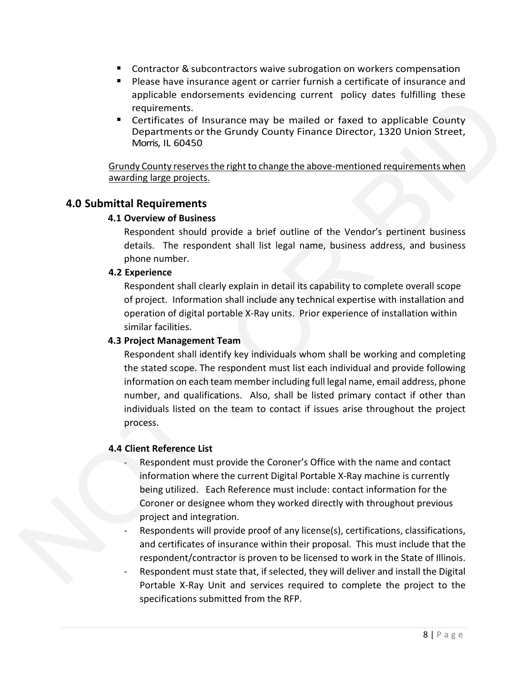- **Contractor & subcontractors waive subrogation on workers compensation**
- Please have insurance agent or carrier furnish a certificate of insurance and applicable endorsements evidencing current policy dates fulfilling these requirements.
- Certificates of Insurance may be mailed or faxed to applicable County Departments orthe Grundy County Finance Director, 1320 Union Street, Morris, IL 60450

Grundy County reserves the right to change the above-mentioned requirements when awarding large projects.

#### **4.0 Submittal Requirements**

#### **4.1 Overview of Business**

Respondent should provide a brief outline of the Vendor's pertinent business details. The respondent shall list legal name, business address, and business phone number.

#### **4.2 Experience**

Respondent shall clearly explain in detail its capability to complete overall scope of project. Information shall include any technical expertise with installation and operation of digital portable X-Ray units. Prior experience of installation within similar facilities.

#### **4.3 Project Management Team**

Respondent shall identify key individuals whom shall be working and completing the stated scope. The respondent must list each individual and provide following information on each team member including full legal name, email address, phone number, and qualifications. Also, shall be listed primary contact if other than individuals listed on the team to contact if issues arise throughout the project process. monosements evidencing current poincy dates rulming these<br>
S.S.<br>
S.S.<br>
S.S.<br>
S.S. The Grundy County Finance Director, 1320 Union Street,<br>
450<br>
Here Grundy County Finance Director, 1320 Union Street,<br>
450<br>
There erves the r

#### **4.4 Client Reference List**

- Respondent must provide the Coroner's Office with the name and contact information where the current Digital Portable X-Ray machine is currently being utilized. Each Reference must include: contact information for the Coroner or designee whom they worked directly with throughout previous project and integration. number, and qualification<br>
individuals listed on the<br>
process.<br>
4.4 Client Reference List<br>
- Respondent must pro<br>
information where the<br>
being utilized. Each I<br>
Coroner or designee<br>
project and integratic<br>
- Respondents wi
	- Respondents will provide proof of any license(s), certifications, classifications, and certificates of insurance within their proposal. This must include that the respondent/contractor is proven to be licensed to work in the State of Illinois.
	- Respondent must state that, if selected, they will deliver and install the Digital Portable X-Ray Unit and services required to complete the project to the specifications submitted from the RFP.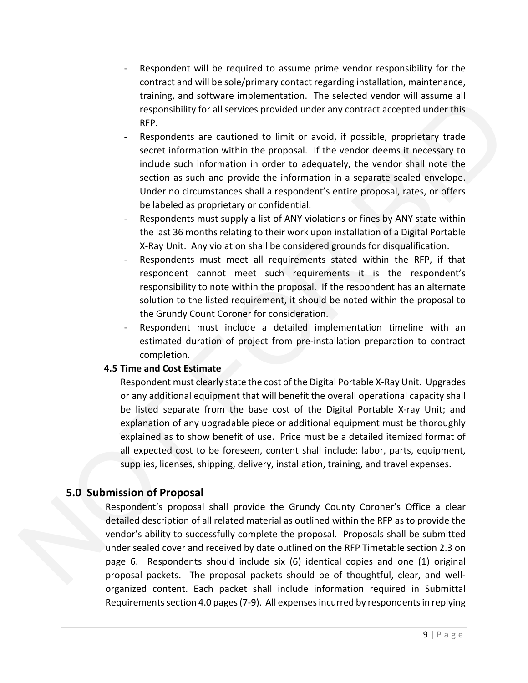- Respondent will be required to assume prime vendor responsibility for the contract and will be sole/primary contact regarding installation, maintenance, training, and software implementation. The selected vendor will assume all responsibility for all services provided under any contract accepted under this RFP.
- Respondents are cautioned to limit or avoid, if possible, proprietary trade secret information within the proposal. If the vendor deems it necessary to include such information in order to adequately, the vendor shall note the section as such and provide the information in a separate sealed envelope. Under no circumstances shall a respondent's entire proposal, rates, or offers be labeled as proprietary or confidential. nd software implementation. The selected vendor will assume all<br>tiv for all services provided under any contract accepted under this<br>ts are cautioned to limit or avoid, if possible, proprietary trade<br>transition within the
- Respondents must supply a list of ANY violations or fines by ANY state within the last 36 months relating to their work upon installation of a Digital Portable X-Ray Unit. Any violation shall be considered grounds for disqualification.
- Respondents must meet all requirements stated within the RFP, if that respondent cannot meet such requirements it is the respondent's responsibility to note within the proposal. If the respondent has an alternate solution to the listed requirement, it should be noted within the proposal to the Grundy Count Coroner for consideration.
- Respondent must include a detailed implementation timeline with an estimated duration of project from pre-installation preparation to contract completion.

#### **4.5 Time and Cost Estimate**

Respondent must clearly state the cost of the Digital Portable X-Ray Unit. Upgrades or any additional equipment that will benefit the overall operational capacity shall be listed separate from the base cost of the Digital Portable X-ray Unit; and explanation of any upgradable piece or additional equipment must be thoroughly explained as to show benefit of use. Price must be a detailed itemized format of all expected cost to be foreseen, content shall include: labor, parts, equipment, supplies, licenses, shipping, delivery, installation, training, and travel expenses.

#### **5.0 Submission of Proposal**

Respondent's proposal shall provide the Grundy County Coroner's Office a clear detailed description of all related material as outlined within the RFP as to provide the vendor's ability to successfully complete the proposal. Proposals shall be submitted under sealed cover and received by date outlined on the RFP Timetable section 2.3 on page 6. Respondents should include six (6) identical copies and one (1) original proposal packets. The proposal packets should be of thoughtful, clear, and wellorganized content. Each packet shall include information required in Submittal or any additional equipme<br>be listed separate from<br>explanation of any upgrace<br>explained as to show ben<br>all expected cost to be for<br>supplies, licenses, shipping<br>5.0 Submission of Proposal<br>Respondent's proposal shall<br>detailed Requirements section 4.0 pages (7-9). All expenses incurred by respondents in replying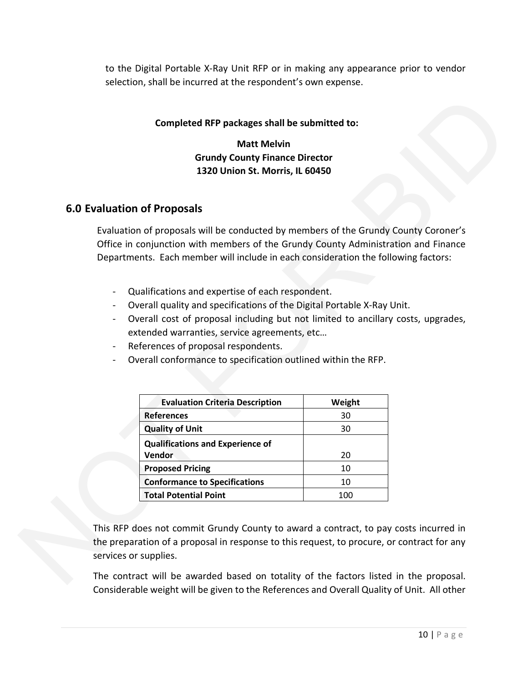to the Digital Portable X-Ray Unit RFP or in making any appearance prior to vendor selection, shall be incurred at the respondent's own expense.

#### **Completed RFP packages shall be submitted to:**

**Matt Melvin Grundy County Finance Director 1320 Union St. Morris, IL 60450**

#### **6.0 Evaluation of Proposals**

Evaluation of proposals will be conducted by members of the Grundy County Coroner's Office in conjunction with members of the Grundy County Administration and Finance Departments. Each member will include in each consideration the following factors: eted RFP packages shall be submitted to:<br>
Matt Melvin<br>
Grundy County Finance Director<br>
1320 Union St. Morris, IL 60450<br>
Sals<br>
sals<br>
sals<br>
sals<br>
sals<br>
sals<br>
sals<br>
sals<br>
to conducted by members of the Grundy County County Co

- Qualifications and expertise of each respondent.
- Overall quality and specifications of the Digital Portable X-Ray Unit.
- Overall cost of proposal including but not limited to ancillary costs, upgrades, extended warranties, service agreements, etc…
- References of proposal respondents.
- Overall conformance to specification outlined within the RFP.

| <b>Evaluation Criteria Description</b>                                                                                                                                   | Weight |
|--------------------------------------------------------------------------------------------------------------------------------------------------------------------------|--------|
| <b>References</b>                                                                                                                                                        | 30     |
| <b>Quality of Unit</b>                                                                                                                                                   | 30     |
| <b>Qualifications and Experience of</b>                                                                                                                                  |        |
| Vendor                                                                                                                                                                   | 20     |
| <b>Proposed Pricing</b>                                                                                                                                                  | 10     |
| <b>Conformance to Specifications</b>                                                                                                                                     | 10     |
| <b>Total Potential Point</b>                                                                                                                                             | 100    |
| This RFP does not commit Grundy County to award a contract, to pay<br>the preparation of a proposal in response to this request, to procure, or<br>services or supplies. |        |
| The contract will be awarded based on totality of the factors listed                                                                                                     |        |

This RFP does not commit Grundy County to award a contract, to pay costs incurred in the preparation of a proposal in response to this request, to procure, or contract for any services or supplies.

The contract will be awarded based on totality of the factors listed in the proposal. Considerable weight will be given to the References and Overall Quality of Unit. All other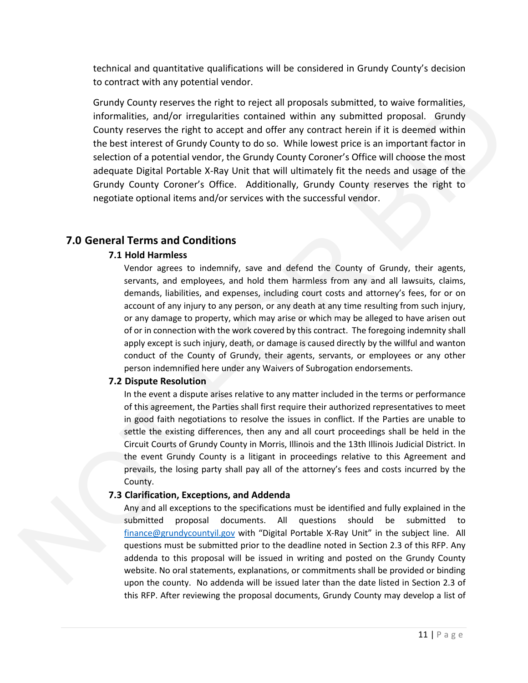technical and quantitative qualifications will be considered in Grundy County's decision to contract with any potential vendor.

Grundy County reserves the right to reject all proposals submitted, to waive formalities, informalities, and/or irregularities contained within any submitted proposal. Grundy County reserves the right to accept and offer any contract herein if it is deemed within the best interest of Grundy County to do so. While lowest price is an important factor in selection of a potential vendor, the Grundy County Coroner's Office will choose the most adequate Digital Portable X-Ray Unit that will ultimately fit the needs and usage of the Grundy County Coroner's Office. Additionally, Grundy County reserves the right to negotiate optional items and/or services with the successful vendor.

#### **7.0 General Terms and Conditions**

#### **7.1 Hold Harmless**

Vendor agrees to indemnify, save and defend the County of Grundy, their agents, servants, and employees, and hold them harmless from any and all lawsuits, claims, demands, liabilities, and expenses, including court costs and attorney's fees, for or on account of any injury to any person, or any death at any time resulting from such injury, or any damage to property, which may arise or which may be alleged to have arisen out of or in connection with the work covered by this contract. The foregoing indemnity shall apply except is such injury, death, or damage is caused directly by the willful and wanton conduct of the County of Grundy, their agents, servants, or employees or any other person indemnified here under any Waivers of Subrogation endorsements. ies the right to reject all proposals submitted, to waive formalities,<br>irregularities contained within any submitted proposal. Grundy<br>ight to accept and offer any contract herein if it is deemed within<br>undy County to do so

#### **7.2 Dispute Resolution**

In the event a dispute arises relative to any matter included in the terms or performance of this agreement, the Parties shall first require their authorized representatives to meet in good faith negotiations to resolve the issues in conflict. If the Parties are unable to settle the existing differences, then any and all court proceedings shall be held in the Circuit Courts of Grundy County in Morris, Illinois and the 13th Illinois Judicial District. In the event Grundy County is a litigant in proceedings relative to this Agreement and prevails, the losing party shall pay all of the attorney's fees and costs incurred by the County. In the event a dispute anse<br>of this agreement, the Parti<br>in good faith negotiations<br>settle the existing differen-<br>Circuit Courts of Grundy Co<br>the event Grundy County<br>prevails, the losing party s<br>County.<br>**7.3 Clarification,** 

#### **7.3 Clarification, Exceptions, and Addenda**

Any and all exceptions to the specifications must be identified and fully explained in the submitted proposal documents. All questions should be submitted to finance@grundycountyil.gov with "Digital Portable X-Ray Unit" in the subject line. All questions must be submitted prior to the deadline noted in Section 2.3 of this RFP. Any addenda to this proposal will be issued in writing and posted on the Grundy County website. No oral statements, explanations, or commitments shall be provided or binding upon the county. No addenda will be issued later than the date listed in Section 2.3 of this RFP. After reviewing the proposal documents, Grundy County may develop a list of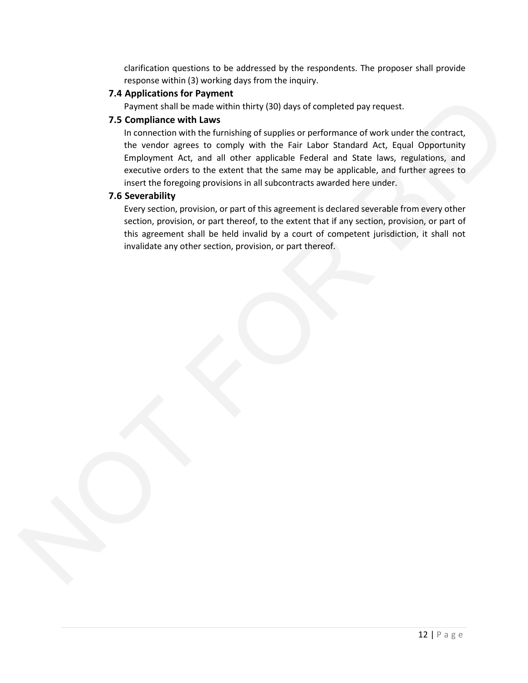clarification questions to be addressed by the respondents. The proposer shall provide response within (3) working days from the inquiry.

#### **7.4 Applications for Payment**

Payment shall be made within thirty (30) days of completed pay request.

#### **7.5 Compliance with Laws**

In connection with the furnishing of supplies or performance of work under the contract, the vendor agrees to comply with the Fair Labor Standard Act, Equal Opportunity Employment Act, and all other applicable Federal and State laws, regulations, and executive orders to the extent that the same may be applicable, and further agrees to insert the foregoing provisions in all subcontracts awarded here under. A Application for a symmetric state of properties and the control of the symmetric state in the members of the law of properties of proference of two functions of the members of the symmetric in the members of the symmetri

#### **7.6 Severability**

Every section, provision, or part of this agreement is declared severable from every other section, provision, or part thereof, to the extent that if any section, provision, or part of this agreement shall be held invalid by a court of competent jurisdiction, it shall not invalidate any other section, provision, or part thereof.